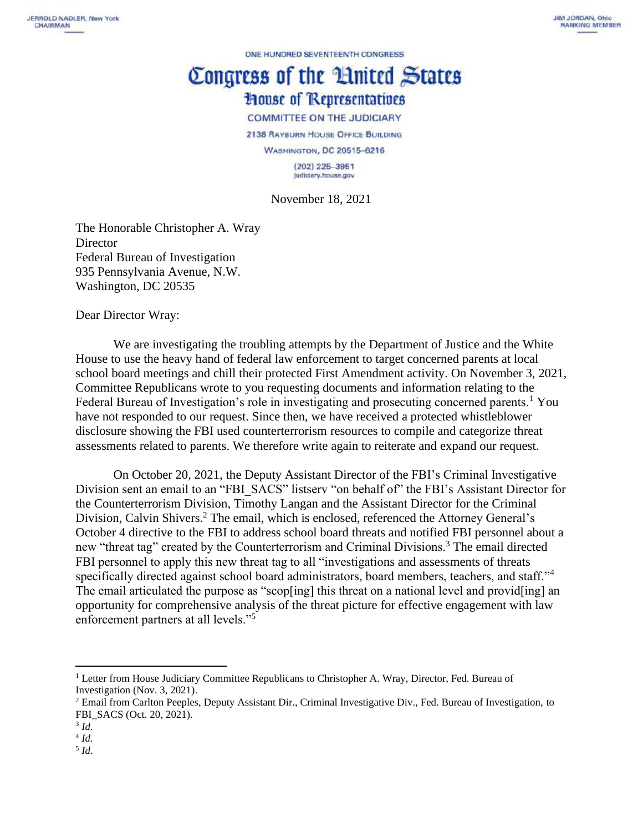ONE HUNDRED SEVENTEENTH CONGRESS

## Congress of the Hnited States **House of Representatives**

**COMMITTEE ON THE JUDICIARY** 

2138 RAYBURN HOUSE OFFICE BUILDING

**WASHINGTON, DC 20515-6216** 

 $(202)$  225-3951 judiciary.house.gov

November 18, 2021

The Honorable Christopher A. Wray **Director** Federal Bureau of Investigation 935 Pennsylvania Avenue, N.W. Washington, DC 20535

Dear Director Wray:

We are investigating the troubling attempts by the Department of Justice and the White House to use the heavy hand of federal law enforcement to target concerned parents at local school board meetings and chill their protected First Amendment activity. On November 3, 2021, Committee Republicans wrote to you requesting documents and information relating to the Federal Bureau of Investigation's role in investigating and prosecuting concerned parents.<sup>1</sup> You have not responded to our request. Since then, we have received a protected whistleblower disclosure showing the FBI used counterterrorism resources to compile and categorize threat assessments related to parents. We therefore write again to reiterate and expand our request.

On October 20, 2021, the Deputy Assistant Director of the FBI's Criminal Investigative Division sent an email to an "FBI\_SACS" listserv "on behalf of" the FBI's Assistant Director for the Counterterrorism Division, Timothy Langan and the Assistant Director for the Criminal Division, Calvin Shivers. <sup>2</sup> The email, which is enclosed, referenced the Attorney General's October 4 directive to the FBI to address school board threats and notified FBI personnel about a new "threat tag" created by the Counterterrorism and Criminal Divisions.<sup>3</sup> The email directed FBI personnel to apply this new threat tag to all "investigations and assessments of threats specifically directed against school board administrators, board members, teachers, and staff."<sup>4</sup> The email articulated the purpose as "scop[ing] this threat on a national level and provid[ing] an opportunity for comprehensive analysis of the threat picture for effective engagement with law enforcement partners at all levels."<sup>5</sup>

<sup>&</sup>lt;sup>1</sup> Letter from House Judiciary Committee Republicans to Christopher A. Wray, Director, Fed. Bureau of Investigation (Nov. 3, 2021).

<sup>2</sup> Email from Carlton Peeples, Deputy Assistant Dir., Criminal Investigative Div., Fed. Bureau of Investigation, to FBI\_SACS (Oct. 20, 2021).

<sup>3</sup> *Id.*

<sup>4</sup> *Id.*

<sup>5</sup> *Id*.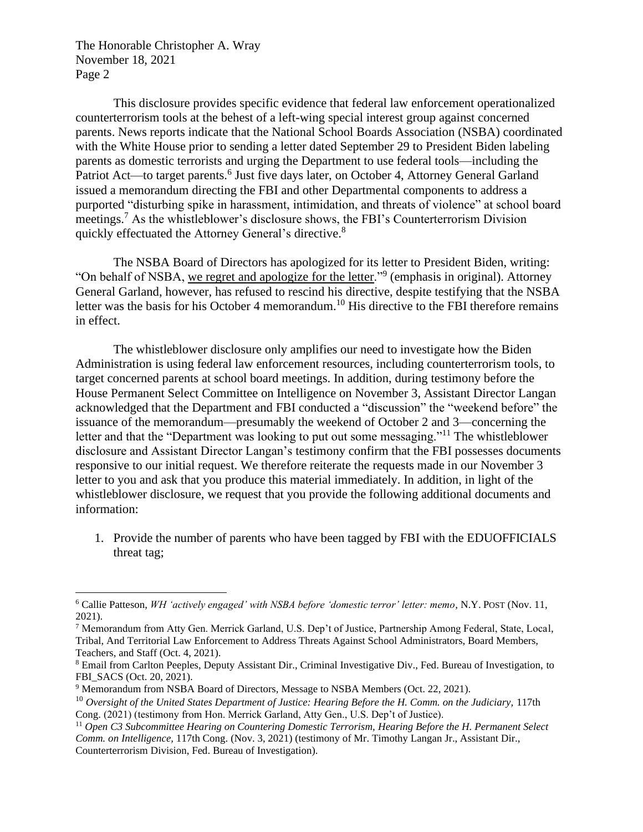The Honorable Christopher A. Wray November 18, 2021 Page 2

This disclosure provides specific evidence that federal law enforcement operationalized counterterrorism tools at the behest of a left-wing special interest group against concerned parents. News reports indicate that the National School Boards Association (NSBA) coordinated with the White House prior to sending a letter dated September 29 to President Biden labeling parents as domestic terrorists and urging the Department to use federal tools—including the Patriot Act—to target parents.<sup>6</sup> Just five days later, on October 4, Attorney General Garland issued a memorandum directing the FBI and other Departmental components to address a purported "disturbing spike in harassment, intimidation, and threats of violence" at school board meetings.<sup>7</sup> As the whistleblower's disclosure shows, the FBI's Counterterrorism Division quickly effectuated the Attorney General's directive.<sup>8</sup>

The NSBA Board of Directors has apologized for its letter to President Biden, writing: "On behalf of NSBA, we regret and apologize for the letter."<sup>9</sup> (emphasis in original). Attorney General Garland, however, has refused to rescind his directive, despite testifying that the NSBA letter was the basis for his October 4 memorandum.<sup>10</sup> His directive to the FBI therefore remains in effect.

The whistleblower disclosure only amplifies our need to investigate how the Biden Administration is using federal law enforcement resources, including counterterrorism tools, to target concerned parents at school board meetings. In addition, during testimony before the House Permanent Select Committee on Intelligence on November 3, Assistant Director Langan acknowledged that the Department and FBI conducted a "discussion" the "weekend before" the issuance of the memorandum—presumably the weekend of October 2 and 3—concerning the letter and that the "Department was looking to put out some messaging."<sup>11</sup> The whistleblower disclosure and Assistant Director Langan's testimony confirm that the FBI possesses documents responsive to our initial request. We therefore reiterate the requests made in our November 3 letter to you and ask that you produce this material immediately. In addition, in light of the whistleblower disclosure, we request that you provide the following additional documents and information:

1. Provide the number of parents who have been tagged by FBI with the EDUOFFICIALS threat tag;

<sup>6</sup> Callie Patteson, *WH 'actively engaged' with NSBA before 'domestic terror' letter: memo,* N.Y. POST (Nov. 11, 2021).

<sup>7</sup> Memorandum from Atty Gen. Merrick Garland, U.S. Dep't of Justice, Partnership Among Federal, State, Local, Tribal, And Territorial Law Enforcement to Address Threats Against School Administrators, Board Members, Teachers, and Staff (Oct. 4, 2021).

<sup>8</sup> Email from Carlton Peeples, Deputy Assistant Dir., Criminal Investigative Div., Fed. Bureau of Investigation, to FBI\_SACS (Oct. 20, 2021).

<sup>9</sup> Memorandum from NSBA Board of Directors, Message to NSBA Members (Oct. 22, 2021).

<sup>&</sup>lt;sup>10</sup> Oversight of the United States Department of Justice: Hearing Before the H. Comm. on the Judiciary, 117th Cong. (2021) (testimony from Hon. Merrick Garland, Atty Gen., U.S. Dep't of Justice).

<sup>11</sup> *Open C3 Subcommittee Hearing on Countering Domestic Terrorism, Hearing Before the H. Permanent Select Comm. on Intelligence,* 117th Cong. (Nov. 3, 2021) (testimony of Mr. Timothy Langan Jr., Assistant Dir., Counterterrorism Division, Fed. Bureau of Investigation).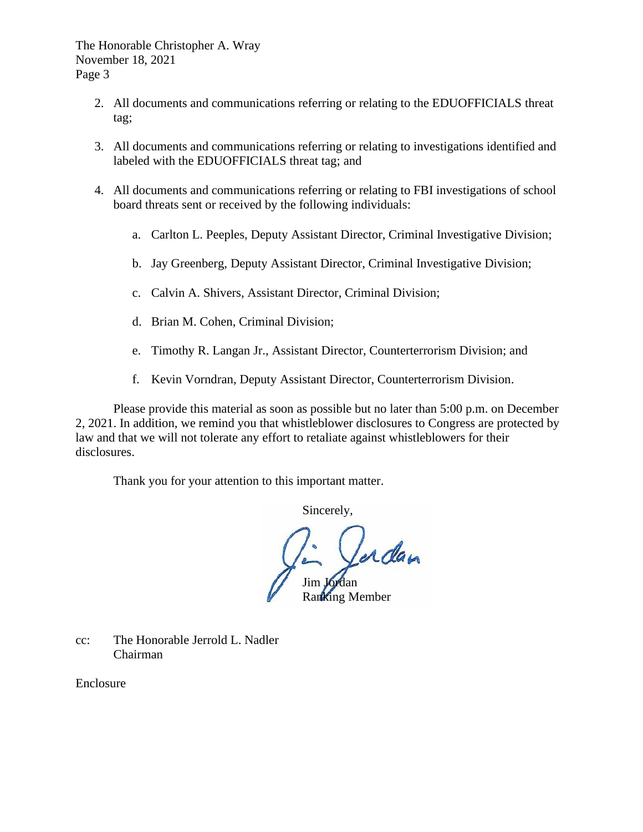The Honorable Christopher A. Wray November 18, 2021 Page 3

- 2. All documents and communications referring or relating to the EDUOFFICIALS threat tag;
- 3. All documents and communications referring or relating to investigations identified and labeled with the EDUOFFICIALS threat tag; and
- 4. All documents and communications referring or relating to FBI investigations of school board threats sent or received by the following individuals:
	- a. Carlton L. Peeples, Deputy Assistant Director, Criminal Investigative Division;
	- b. Jay Greenberg, Deputy Assistant Director, Criminal Investigative Division;
	- c. Calvin A. Shivers, Assistant Director, Criminal Division;
	- d. Brian M. Cohen, Criminal Division;
	- e. Timothy R. Langan Jr., Assistant Director, Counterterrorism Division; and
	- f. Kevin Vorndran, Deputy Assistant Director, Counterterrorism Division.

Please provide this material as soon as possible but no later than 5:00 p.m. on December 2, 2021. In addition, we remind you that whistleblower disclosures to Congress are protected by law and that we will not tolerate any effort to retaliate against whistleblowers for their disclosures.

Thank you for your attention to this important matter.

Sincerely,

erdan Jim Jordan Ranking Member

cc: The Honorable Jerrold L. Nadler Chairman

Enclosure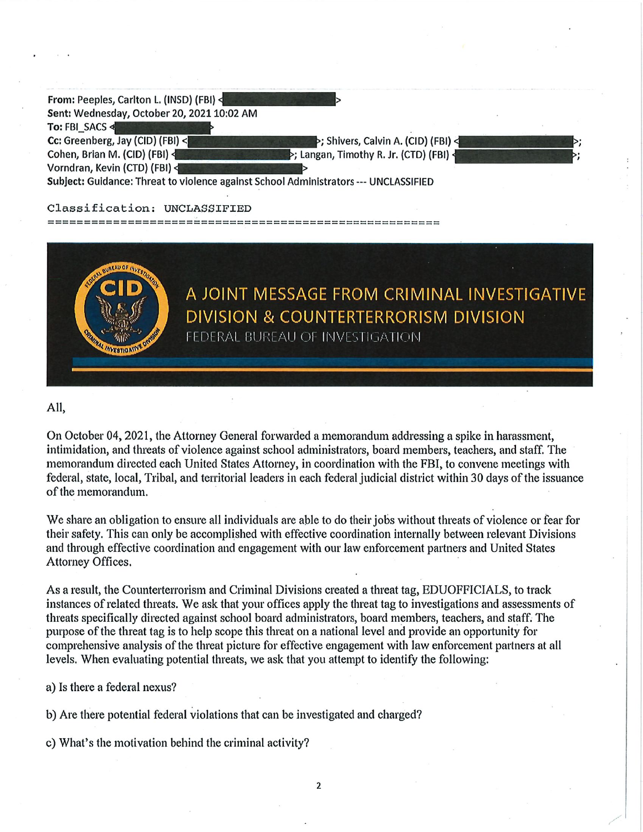| From: Peeples, Carlton L. (INSD) (FBI)                                               |                                         |  |
|--------------------------------------------------------------------------------------|-----------------------------------------|--|
| Sent: Wednesday, October 20, 2021 10:02 AM                                           |                                         |  |
| To: FBI SACS                                                                         |                                         |  |
| Cc: Greenberg, Jay (CID) (FBI) <                                                     | >; Shivers, Calvin A. (CID) (FBI) <     |  |
| Cohen, Brian M. (CID) (FBI)                                                          | >; Langan, Timothy R. Jr. (CTD) (FBI) < |  |
| Vorndran, Kevin (CTD) (FBI)                                                          |                                         |  |
| Subject: Guidance: Threat to violence against School Administrators --- UNCLASSIFIED |                                         |  |

## Classification: UNCLASSIFIED

-----------------------



## All,

On October 04, 2021, the Attorney General forwarded a memorandum addressing a spike in harassment, intimidation, and threats of violence against school administrators, board members, teachers, and staff. The memorandum directed each United States Attorney, in coordination with the FBI, to convene meetings with federal, state, local, Tribal, and territorial leaders in each federal judicial district within 30 days of the issuance of the memorandum.

We share an obligation to ensure all individuals are able to do their jobs without threats of violence or fear for their safety. This can only be accomplished with effective coordination internally between relevant Divisions and through effective coordination and engagement with our law enforcement partners and United States Attorney Offices.

As a result, the Counterterrorism and Criminal Divisions created a threat tag, EDUOFFICIALS, to track instances of related threats. We ask that your offices apply the threat tag to investigations and assessments of threats specifically directed against school board administrators, board members, teachers, and staff. The purpose of the threat tag is to help scope this threat on a national level and provide an opportunity for comprehensive analysis of the threat picture for effective engagement with law enforcement partners at all levels. When evaluating potential threats, we ask that you attempt to identify the following:

a) Is there a federal nexus?

b) Are there potential federal violations that can be investigated and charged?

c) What's the motivation behind the criminal activity?